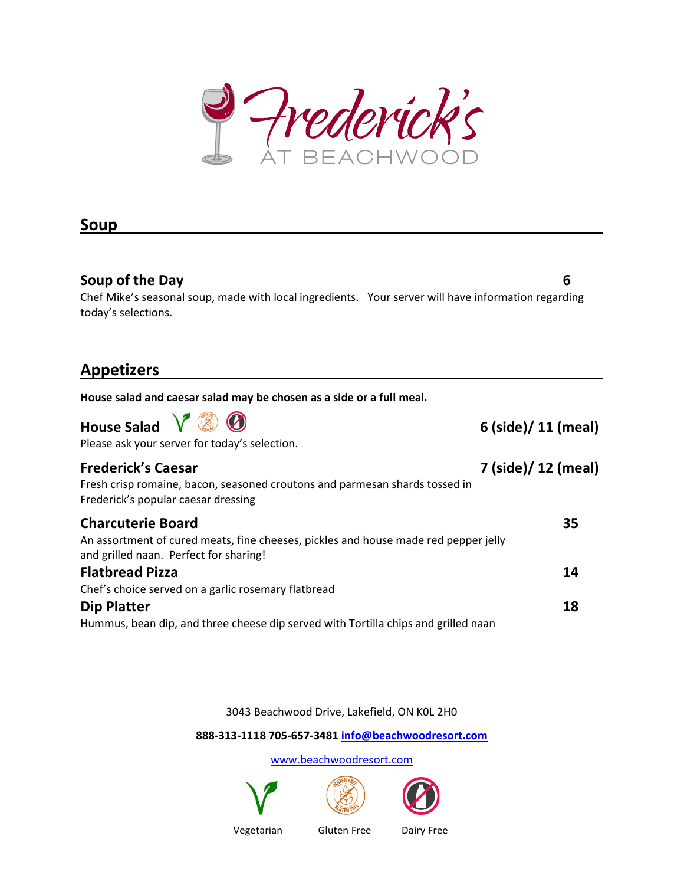lerick's trea – A (  $\Gamma$   $\rightarrow$   $\rightarrow$   $\rightarrow$ 

6

## Soup

#### Soup of the Day

Chef Mike's seasonal soup, made with local ingredients. Your server will have information regarding have information today's selections.

l.

## Appetizers

| House salad and caesar salad may be chosen as a side or a full meal.                                                                                      |                     |
|-----------------------------------------------------------------------------------------------------------------------------------------------------------|---------------------|
| <b>House Salad</b><br>Please ask your server for today's selection.                                                                                       | 6 (side)/ 11 (meal) |
| <b>Frederick's Caesar</b><br>Fresh crisp romaine, bacon, seasoned croutons and parmesan shards tossed in<br>Frederick's popular caesar dressing           | 7 (side)/ 12 (meal) |
| <b>Charcuterie Board</b><br>An assortment of cured meats, fine cheeses, pickles and house made red pepper jelly<br>and grilled naan. Perfect for sharing! | 35                  |
| <b>Flatbread Pizza</b>                                                                                                                                    | 14                  |
| Chef's choice served on a garlic rosemary flatbread                                                                                                       |                     |
| <b>Dip Platter</b>                                                                                                                                        | 18                  |
| Hummus, bean dip, and three cheese dip served with Tortilla chips and grilled naan                                                                        |                     |
|                                                                                                                                                           |                     |
| 3043 Beachwood Drive, Lakefield, ON KOL 2H0                                                                                                               |                     |

888-313-1118 705 1118 705-657-3481 info@beachwoodresort.com

www.beachwoodresort.com





Vegetarian

Gluten Free Dairy Free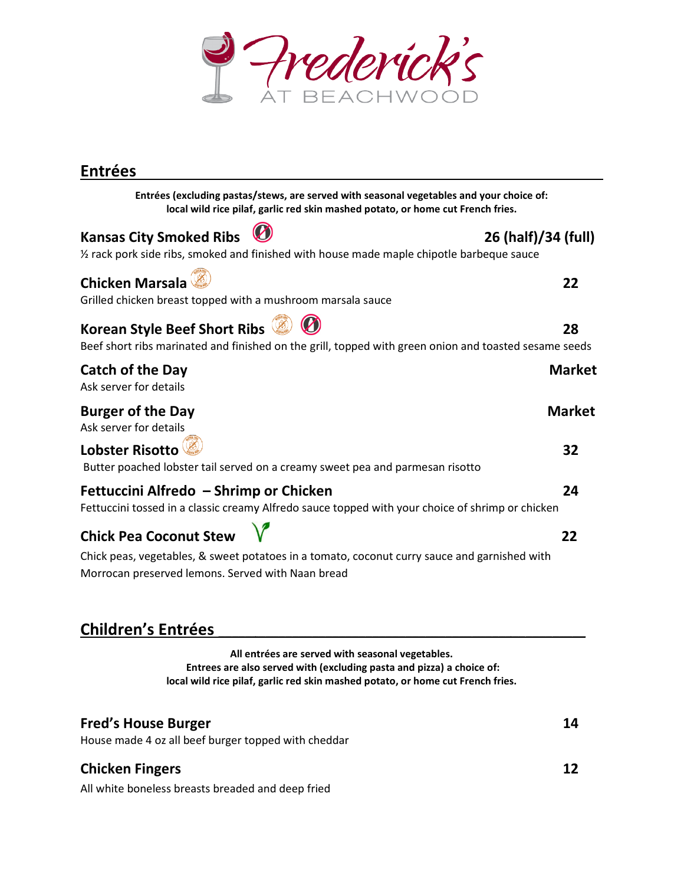

## Entrées

Entrées (excluding pastas/stews, are served with seasonal vegetables and your choice of:<br>local wild rice pilaf, garlic red skin mashed potato, or home cut French fries. local wild rice pilaf, garlic red skin mashed potato, or home cut French fries.

#### Kansas City Smoked Ribs  $\sim$  26 (half)/34 (full)

# % rack pork side ribs, smoked and finished with house made maple chipotle barbeque sauce<br>**Chicken Marsala**<br>Grilled chicken breast topped with a mushroom marsala sauce Chicken Marsala Grilled chicken breast topped with a mushroom marsala sauce Korean Style Beef Short Ribs Beef Beef short ribs marinated and finished on the grill, topped with green onion and toasted sesame seeds Catch of the Day Ask server for details Burger of the Day Ask server for details Lobster Risotto Butter poached lobster tail served on a creamy sweet pea and parmesan risotto Fettuccini Alfredo - Shrimp or Chicken Fettuccini tossed in a classic creamy Alfredo sauce topped with your choice of shrimp or chicken Chick Pea Coconut Stew served with seasonal vegetables and your choic<br>kin mashed potato, or home cut French fries.<br>26 (hal<br>th house made maple chipotle barbeque sau<br>m marsala sauce<br>grill, topped with green onion and toasted s<br>grill, topped with 22 28 Market Market 32 24 22

Chick peas, vegetables, & sweet potatoes in a tomato, coconut curry sauce and garnished with<br>Morrocan preserved lemons. Served with Naan bread Morrocan preserved lemons. Served with Naan bread

## Children's Entrées \_\_\_\_\_\_\_\_\_\_\_\_\_\_\_\_\_\_\_\_\_\_\_\_\_\_\_\_\_\_\_\_\_\_\_\_\_\_\_\_\_\_\_\_\_\_

All entrées are served with seasonal vegetables. Entrees are also served with (excluding pasta and pizza) a choice of: local wild rice pilaf, garlic red skin mashed potato, or home cut French fries.

 $\mathcal{L}_\text{max} = \mathcal{L}_\text{max} = \mathcal{L}_\text{max} = \mathcal{L}_\text{max} = \mathcal{L}_\text{max} = \mathcal{L}_\text{max} = \mathcal{L}_\text{max}$ 

 $\mathcal{L}_\text{max} = \mathcal{L}_\text{max} = \mathcal{L}_\text{max} = \mathcal{L}_\text{max} = \mathcal{L}_\text{max} = \mathcal{L}_\text{max} = \mathcal{L}_\text{max} = \mathcal{L}_\text{max} = \mathcal{L}_\text{max} = \mathcal{L}_\text{max} = \mathcal{L}_\text{max} = \mathcal{L}_\text{max} = \mathcal{L}_\text{max} = \mathcal{L}_\text{max} = \mathcal{L}_\text{max} = \mathcal{L}_\text{max} = \mathcal{L}_\text{max} = \mathcal{L}_\text{max} = \mathcal{$ 

14

12

House made 4 oz all beef burger topped with cheddar

## Chicken Fingers

All white boneless breasts breaded and deep fried